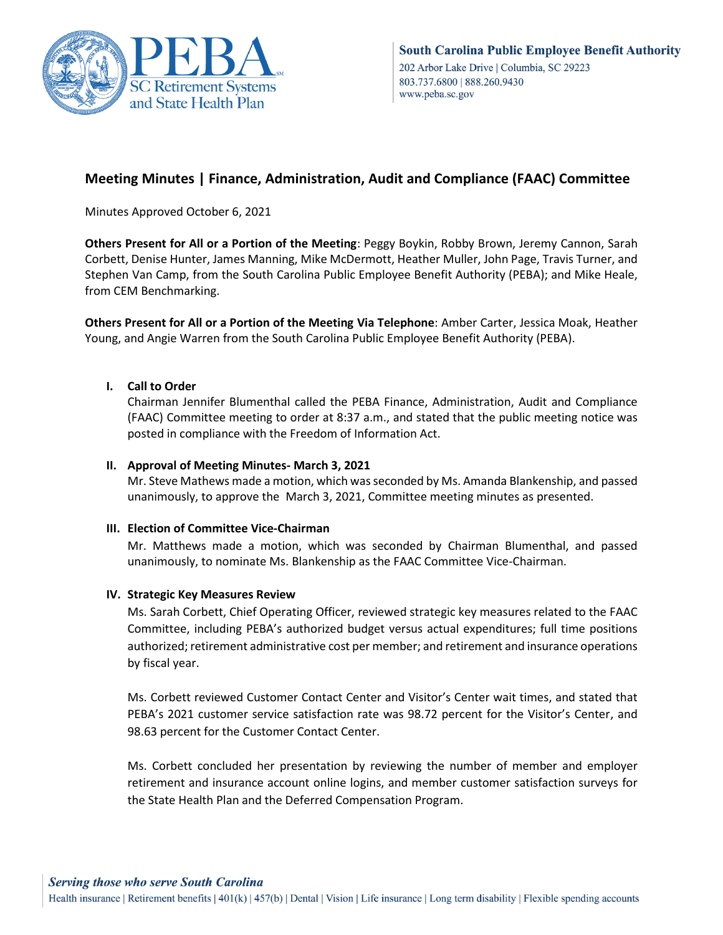

# **Meeting Minutes | Finance, Administration, Audit and Compliance (FAAC) Committee**

Minutes Approved October 6, 2021

**Others Present for All or a Portion of the Meeting**: Peggy Boykin, Robby Brown, Jeremy Cannon, Sarah Corbett, Denise Hunter, James Manning, Mike McDermott, Heather Muller, John Page, Travis Turner, and Stephen Van Camp, from the South Carolina Public Employee Benefit Authority (PEBA); and Mike Heale, from CEM Benchmarking.

**Others Present for All or a Portion of the Meeting Via Telephone**: Amber Carter, Jessica Moak, Heather Young, and Angie Warren from the South Carolina Public Employee Benefit Authority (PEBA).

# **I. Call to Order**

Chairman Jennifer Blumenthal called the PEBA Finance, Administration, Audit and Compliance (FAAC) Committee meeting to order at 8:37 a.m., and stated that the public meeting notice was posted in compliance with the Freedom of Information Act.

## **II. Approval of Meeting Minutes- March 3, 2021**

Mr. Steve Mathews made a motion, which was seconded by Ms. Amanda Blankenship, and passed unanimously, to approve the March 3, 2021, Committee meeting minutes as presented.

## **III. Election of Committee Vice-Chairman**

Mr. Matthews made a motion, which was seconded by Chairman Blumenthal, and passed unanimously, to nominate Ms. Blankenship as the FAAC Committee Vice-Chairman.

## **IV. Strategic Key Measures Review**

Ms. Sarah Corbett, Chief Operating Officer, reviewed strategic key measures related to the FAAC Committee, including PEBA's authorized budget versus actual expenditures; full time positions authorized; retirement administrative cost per member; and retirement and insurance operations by fiscal year.

Ms. Corbett reviewed Customer Contact Center and Visitor's Center wait times, and stated that PEBA's 2021 customer service satisfaction rate was 98.72 percent for the Visitor's Center, and 98.63 percent for the Customer Contact Center.

Ms. Corbett concluded her presentation by reviewing the number of member and employer retirement and insurance account online logins, and member customer satisfaction surveys for the State Health Plan and the Deferred Compensation Program.